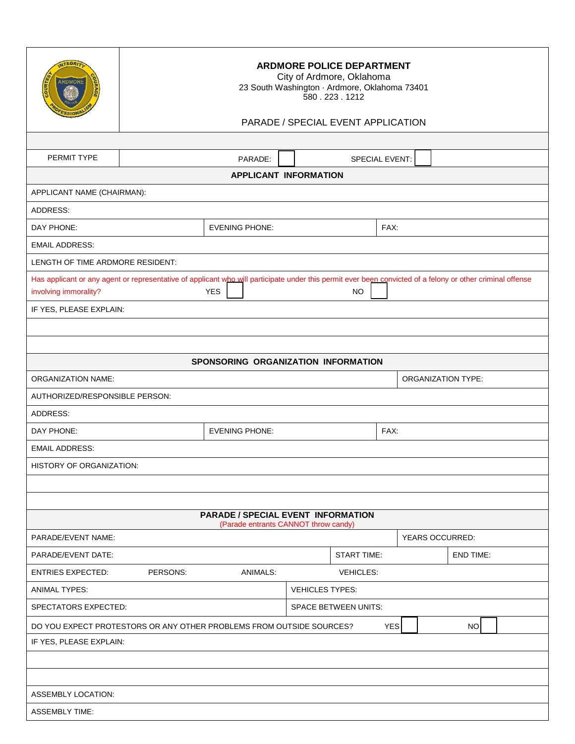| <b>ATEGRIT</b><br><b>ARDMORE</b><br>ssiol                                                                                                                                                                      | <b>ARDMORE POLICE DEPARTMENT</b><br>City of Ardmore, Oklahoma<br>23 South Washington · Ardmore, Oklahoma 73401<br>580.223.1212 |                       |                             |                       |                        |  |
|----------------------------------------------------------------------------------------------------------------------------------------------------------------------------------------------------------------|--------------------------------------------------------------------------------------------------------------------------------|-----------------------|-----------------------------|-----------------------|------------------------|--|
|                                                                                                                                                                                                                | PARADE / SPECIAL EVENT APPLICATION                                                                                             |                       |                             |                       |                        |  |
|                                                                                                                                                                                                                |                                                                                                                                |                       |                             |                       |                        |  |
| PERMIT TYPE                                                                                                                                                                                                    |                                                                                                                                | PARADE:               |                             | <b>SPECIAL EVENT:</b> |                        |  |
| <b>APPLICANT INFORMATION</b>                                                                                                                                                                                   |                                                                                                                                |                       |                             |                       |                        |  |
| APPLICANT NAME (CHAIRMAN):                                                                                                                                                                                     |                                                                                                                                |                       |                             |                       |                        |  |
| ADDRESS:                                                                                                                                                                                                       |                                                                                                                                |                       |                             |                       |                        |  |
| DAY PHONE:                                                                                                                                                                                                     | <b>EVENING PHONE:</b>                                                                                                          |                       | FAX:                        |                       |                        |  |
| <b>EMAIL ADDRESS:</b>                                                                                                                                                                                          |                                                                                                                                |                       |                             |                       |                        |  |
| LENGTH OF TIME ARDMORE RESIDENT:                                                                                                                                                                               |                                                                                                                                |                       |                             |                       |                        |  |
| Has applicant or any agent or representative of applicant who will participate under this permit ever been convicted of a felony or other criminal offense<br><b>YES</b><br>involving immorality?<br><b>NO</b> |                                                                                                                                |                       |                             |                       |                        |  |
| IF YES, PLEASE EXPLAIN:                                                                                                                                                                                        |                                                                                                                                |                       |                             |                       |                        |  |
|                                                                                                                                                                                                                |                                                                                                                                |                       |                             |                       |                        |  |
|                                                                                                                                                                                                                |                                                                                                                                |                       |                             |                       |                        |  |
| SPONSORING ORGANIZATION INFORMATION                                                                                                                                                                            |                                                                                                                                |                       |                             |                       |                        |  |
| <b>ORGANIZATION NAME:</b><br><b>ORGANIZATION TYPE:</b>                                                                                                                                                         |                                                                                                                                |                       |                             |                       |                        |  |
| AUTHORIZED/RESPONSIBLE PERSON:                                                                                                                                                                                 |                                                                                                                                |                       |                             |                       |                        |  |
| <b>ADDRESS:</b>                                                                                                                                                                                                |                                                                                                                                |                       |                             |                       |                        |  |
| DAY PHONE:                                                                                                                                                                                                     |                                                                                                                                | <b>EVENING PHONE:</b> |                             | FAX:                  |                        |  |
| <b>EMAIL ADDRESS:</b>                                                                                                                                                                                          |                                                                                                                                |                       |                             |                       |                        |  |
| HISTORY OF ORGANIZATION:                                                                                                                                                                                       |                                                                                                                                |                       |                             |                       |                        |  |
|                                                                                                                                                                                                                |                                                                                                                                |                       |                             |                       |                        |  |
|                                                                                                                                                                                                                |                                                                                                                                |                       |                             |                       |                        |  |
| <b>PARADE / SPECIAL EVENT INFORMATION</b><br>(Parade entrants CANNOT throw candy)                                                                                                                              |                                                                                                                                |                       |                             |                       |                        |  |
| PARADE/EVENT NAME:                                                                                                                                                                                             |                                                                                                                                |                       |                             |                       | <b>YEARS OCCURRED:</b> |  |
| PARADE/EVENT DATE:                                                                                                                                                                                             |                                                                                                                                |                       | <b>START TIME:</b>          |                       | <b>END TIME:</b>       |  |
| <b>ENTRIES EXPECTED:</b>                                                                                                                                                                                       | PERSONS:                                                                                                                       | <b>ANIMALS:</b>       | <b>VEHICLES:</b>            |                       |                        |  |
| ANIMAL TYPES:                                                                                                                                                                                                  |                                                                                                                                |                       | <b>VEHICLES TYPES:</b>      |                       |                        |  |
| SPECTATORS EXPECTED:                                                                                                                                                                                           |                                                                                                                                |                       | <b>SPACE BETWEEN UNITS:</b> |                       |                        |  |
| DO YOU EXPECT PROTESTORS OR ANY OTHER PROBLEMS FROM OUTSIDE SOURCES?                                                                                                                                           |                                                                                                                                |                       |                             | <b>YES</b>            | NO                     |  |
| IF YES, PLEASE EXPLAIN:                                                                                                                                                                                        |                                                                                                                                |                       |                             |                       |                        |  |
|                                                                                                                                                                                                                |                                                                                                                                |                       |                             |                       |                        |  |
|                                                                                                                                                                                                                |                                                                                                                                |                       |                             |                       |                        |  |
| ASSEMBLY LOCATION:                                                                                                                                                                                             |                                                                                                                                |                       |                             |                       |                        |  |
| <b>ASSEMBLY TIME:</b>                                                                                                                                                                                          |                                                                                                                                |                       |                             |                       |                        |  |
|                                                                                                                                                                                                                |                                                                                                                                |                       |                             |                       |                        |  |